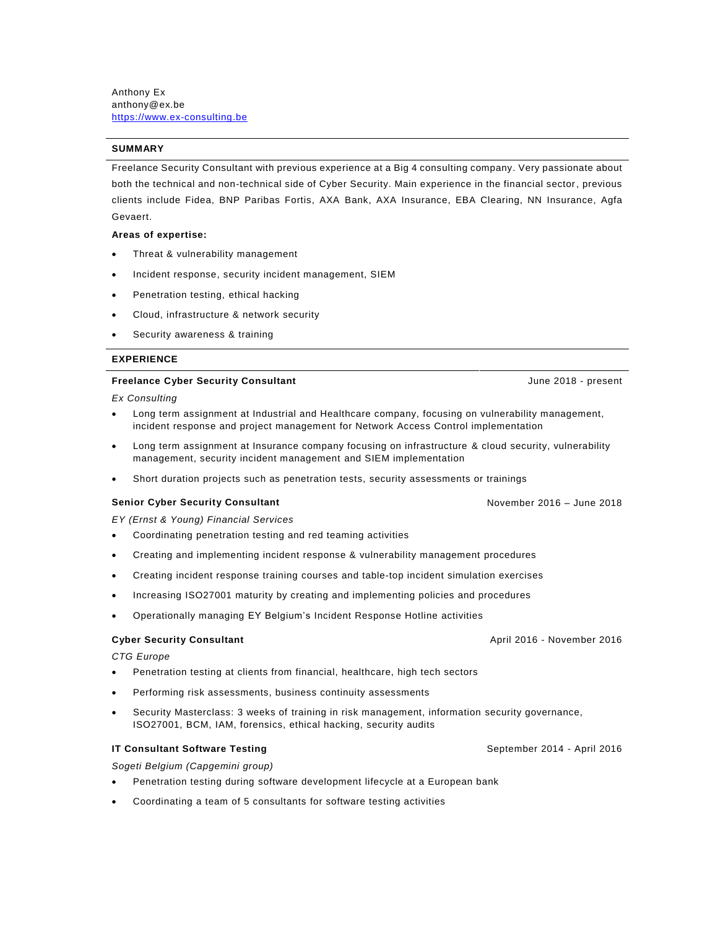Anthony Ex anthony@ex.be [https://www.ex-consulting.be](https://www.ex-consulting.be/)

# **SUMMARY**

Freelance Security Consultant with previous experience at a Big 4 consulting company. Very passionate about both the technical and non-technical side of Cyber Security. Main experience in the financial sector, previous clients include Fidea, BNP Paribas Fortis, AXA Bank, AXA Insurance, EBA Clearing, NN Insurance, Agfa Gevaert.

### **Areas of expertise:**

- Threat & vulnerability management
- Incident response, security incident management, SIEM
- Penetration testing, ethical hacking
- Cloud, infrastructure & network security
- Security awareness & training

### **EXPERIENCE**

### **Freelance Cyber Security Consultant Security Consultant June 2018** - present

*Ex Consulting*

- Long term assignment at Industrial and Healthcare company, focusing on vulnerability management, incident response and project management for Network Access Control implementation
- Long term assignment at Insurance company focusing on infrastructure & cloud security, vulnerability management, security incident management and SIEM implementation
- Short duration projects such as penetration tests, security assessments or trainings

# **Senior Cyber Security Consultant** November 2016 – June 2018

*EY (Ernst & Young) Financial Services*

- Coordinating penetration testing and red teaming activities
- Creating and implementing incident response & vulnerability management procedures
- Creating incident response training courses and table-top incident simulation exercises
- Increasing ISO27001 maturity by creating and implementing policies and procedures
- Operationally managing EY Belgium's Incident Response Hotline activities

*CTG Europe*

- Penetration testing at clients from financial, healthcare, high tech sectors
- Performing risk assessments, business continuity assessments
- Security Masterclass: 3 weeks of training in risk management, information security governance, ISO27001, BCM, IAM, forensics, ethical hacking, security audits

# **IT Consultant Software Testing September 2014 - April 2016**

*Sogeti Belgium (Capgemini group)*

- Penetration testing during software development lifecycle at a European bank
- Coordinating a team of 5 consultants for software testing activities

**Cyber Security Consultant** April 2016 - November 2016 - November 2016 - April 2016 - November 2016